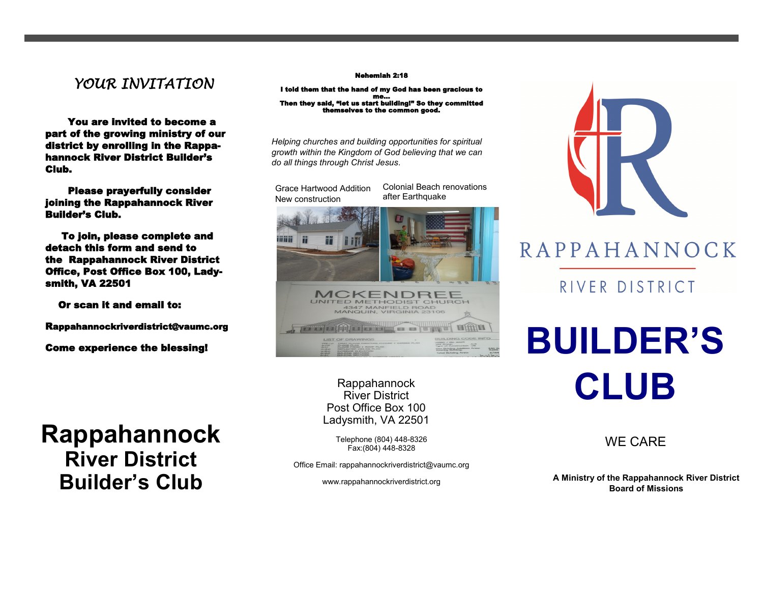### *YOUR INVITATION*

 You are invited to become a part of the growing ministry of our district by enrolling in the Rappahannock River District Builder's Club.

 Please prayerfully consider joining the Rappahannock River Builder's Club.

 To join, please complete and detach this form and send to the Rappahannock River District Office, Post Office Box 100, Ladysmith, VA 22501

Or scan it and email to:

Rappahannockriverdistrict@vaumc.org

Come experience the blessing!

## **Rappahannock River District Builder's Club**

#### Nehemiah 2:18

I told them that the hand of my God has been gracious to me…<br>Then they said, "let us start building!" So they committed themselves to the common good.

*Helping churches and building opportunities for spiritual growth within the Kingdom of God believing that we can do all things through Christ Jesus*.

Grace Hartwood Addition New construction

Colonial Beach renovations after Earthquake



Rappahannock River District Post Office Box 100 Ladysmith, VA 22501

Telephone (804) 448-8326 WE CARE Fax:(804) 448-<sup>8328</sup>

Office Email: rappahannockriverdistrict@vaumc.org

www.rappahannockriverdistrict.org



### RAPPAHANNOCK

RIVER DISTRICT

# **BUILDER'S CLUB**

**A Ministry of the Rappahannock River District Board of Missions**